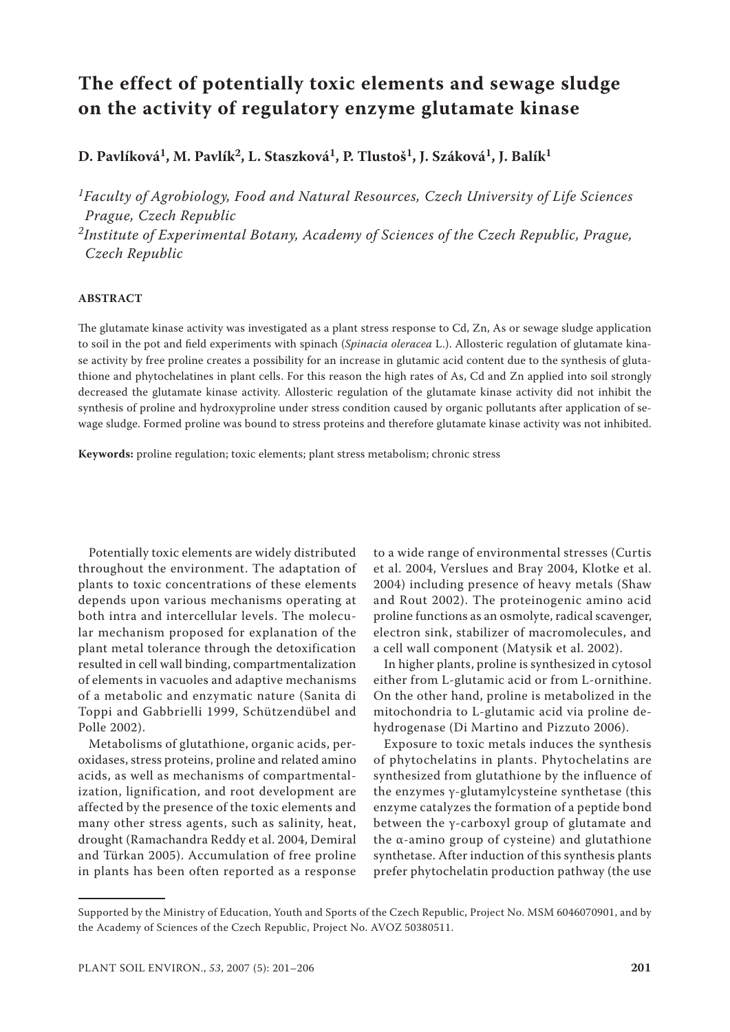# **The effect of potentially toxic elements and sewage sludge on the activity of regulatory enzyme glutamate kinase**

**D. Pavlíková1, M. Pavlík2, L. Staszková1, P. Tlustoš1, J. Száková1, J. Balík1**

*1Faculty of Agrobiology, Food and Natural Resources, Czech University of Life Sciences Prague, Czech Republic*

*2Institute of Experimental Botany, Academy of Sciences of the Czech Republic, Prague, Czech Republic*

## **ABSTRACT**

The glutamate kinase activity was investigated as a plant stress response to Cd, Zn, As or sewage sludge application to soil in the pot and field experiments with spinach (*Spinacia oleracea* L.). Allosteric regulation of glutamate kinase activity by free proline creates a possibility for an increase in glutamic acid content due to the synthesis of glutathione and phytochelatines in plant cells. For this reason the high rates of As, Cd and Zn applied into soil strongly decreased the glutamate kinase activity. Allosteric regulation of the glutamate kinase activity did not inhibit the synthesis of proline and hydroxyproline under stress condition caused by organic pollutants after application of sewage sludge. Formed proline was bound to stress proteins and therefore glutamate kinase activity was not inhibited.

**Keywords:** proline regulation; toxic elements; plant stress metabolism; chronic stress

Potentially toxic elements are widely distributed throughout the environment. The adaptation of plants to toxic concentrations of these elements depends upon various mechanisms operating at both intra and intercellular levels. The molecular mechanism proposed for explanation of the plant metal tolerance through the detoxification resulted in cell wall binding, compartmentalization of elements in vacuoles and adaptive mechanisms of a metabolic and enzymatic nature (Sanita di Toppi and Gabbrielli 1999, Schützendübel and Polle 2002).

Metabolisms of glutathione, organic acids, peroxidases, stress proteins, proline and related amino acids, as well as mechanisms of compartmentalization, lignification, and root development are affected by the presence of the toxic elements and many other stress agents, such as salinity, heat, drought (Ramachandra Reddy et al. 2004, Demiral and Türkan 2005). Accumulation of free proline in plants has been often reported as a response

to a wide range of environmental stresses (Curtis et al. 2004, Verslues and Bray 2004, Klotke et al. 2004) including presence of heavy metals (Shaw and Rout 2002). The proteinogenic amino acid proline functions as an osmolyte, radical scavenger, electron sink, stabilizer of macromolecules, and a cell wall component (Matysik et al. 2002).

In higher plants, proline is synthesized in cytosol either from L-glutamic acid or from L-ornithine. On the other hand, proline is metabolized in the mitochondria to L-glutamic acid via proline dehydrogenase (Di Martino and Pizzuto 2006).

Exposure to toxic metals induces the synthesis of phytochelatins in plants. Phytochelatins are synthesized from glutathione by the influence of the enzymes γ-glutamylcysteine synthetase (this enzyme catalyzes the formation of a peptide bond between the γ-carboxyl group of glutamate and the α-amino group of cysteine) and glutathione synthetase. After induction of this synthesis plants prefer phytochelatin production pathway (the use

Supported by the Ministry of Education, Youth and Sports of the Czech Republic, Project No. MSM 6046070901, and by the Academy of Sciences of the Czech Republic, Project No. AVOZ 50380511.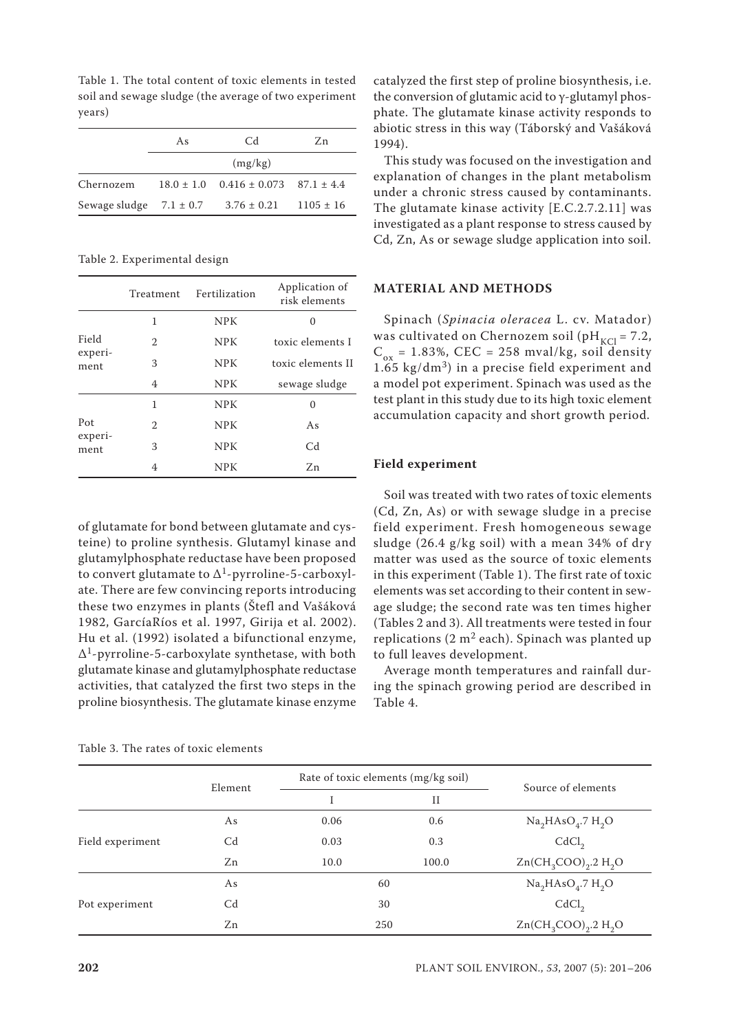Table 1. The total content of toxic elements in tested soil and sewage sludge (the average of two experiment years)

|           | As | Cd                                                        | Zn. |
|-----------|----|-----------------------------------------------------------|-----|
|           |    | (mg/kg)                                                   |     |
| Chernozem |    | $18.0 \pm 1.0$ $0.416 \pm 0.073$ $87.1 \pm 4.4$           |     |
|           |    | Sewage sludge $7.1 \pm 0.7$ $3.76 \pm 0.21$ $1105 \pm 16$ |     |

Table 2. Experimental design

|                        | Treatment | Fertilization | Application of<br>risk elements |
|------------------------|-----------|---------------|---------------------------------|
|                        | 1         | <b>NPK</b>    |                                 |
| Field                  | 2         | <b>NPK</b>    | toxic elements I                |
| experi-<br>ment        | 3         | <b>NPK</b>    | toxic elements II               |
|                        | 4         | <b>NPK</b>    | sewage sludge                   |
|                        | 1         | <b>NPK</b>    | $\Omega$                        |
| Pot<br>experi-<br>ment | 2         | <b>NPK</b>    | As                              |
|                        | 3         | <b>NPK</b>    | C <sub>d</sub>                  |
|                        | 4         | NPK           | Zn                              |

of glutamate for bond between glutamate and cysteine) to proline synthesis. Glutamyl kinase and glutamylphosphate reductase have been proposed to convert glutamate to  $\Delta$ <sup>1</sup>-pyrroline-5-carboxylate. There are few convincing reports introducing these two enzymes in plants (Štefl and Vašáková 1982, GarcíaRíos et al. 1997, Girija et al. 2002). Hu et al. (1992) isolated a bifunctional enzyme, ∆1-pyrroline-5-carboxylate synthetase, with both glutamate kinase and glutamylphosphate reductase activities, that catalyzed the first two steps in the proline biosynthesis. The glutamate kinase enzyme

Table 3. The rates of toxic elements

catalyzed the first step of proline biosynthesis, i.e. the conversion of glutamic acid to γ-glutamyl phosphate. The glutamate kinase activity responds to abiotic stress in this way (Táborský and Vašáková 1994).

This study was focused on the investigation and explanation of changes in the plant metabolism under a chronic stress caused by contaminants. The glutamate kinase activity [E.C.2.7.2.11] was investigated as a plant response to stress caused by Cd, Zn, As or sewage sludge application into soil.

## **MATERIAL AND METHODS**

Spinach (*Spinacia oleracea* L. cv. Matador) was cultivated on Chernozem soil (pH<sub>KCl</sub> = 7.2,  $C_{ox}$  = 1.83%, CEC = 258 mval/kg, soil density  $1.65$  kg/dm<sup>3</sup>) in a precise field experiment and a model pot experiment. Spinach was used as the test plant in this study due to its high toxic element accumulation capacity and short growth period.

#### **Field experiment**

Soil was treated with two rates of toxic elements (Cd, Zn, As) or with sewage sludge in a precise field experiment. Fresh homogeneous sewage sludge (26.4 g/kg soil) with a mean 34% of dry matter was used as the source of toxic elements in this experiment (Table 1). The first rate of toxic elements was set according to their content in sewage sludge; the second rate was ten times higher (Tables 2 and 3). All treatments were tested in four replications (2  $m^2$  each). Spinach was planted up to full leaves development.

Average month temperatures and rainfall during the spinach growing period are described in Table 4.

|                  |                | Rate of toxic elements (mg/kg soil) |             |                                |
|------------------|----------------|-------------------------------------|-------------|--------------------------------|
|                  | Element        |                                     | $_{\rm II}$ | Source of elements             |
|                  | As             | 0.06                                | 0.6         | $Na2HAsO4$ .7 H <sub>2</sub> O |
| Field experiment | C <sub>d</sub> | 0.03                                | 0.3         | CdCl <sub>2</sub>              |
|                  | Zn             | 10.0                                | 100.0       | $Zn(CH_3COO)_2.2 H_2O$         |
|                  | As             |                                     | 60          | $Na2HAsO4$ .7 H <sub>2</sub> O |
| Pot experiment   | C <sub>d</sub> | 30                                  |             | CdCl <sub>2</sub>              |
|                  | Zn             | 250                                 |             | $Zn(CH_3COO)_2.2 H_2O$         |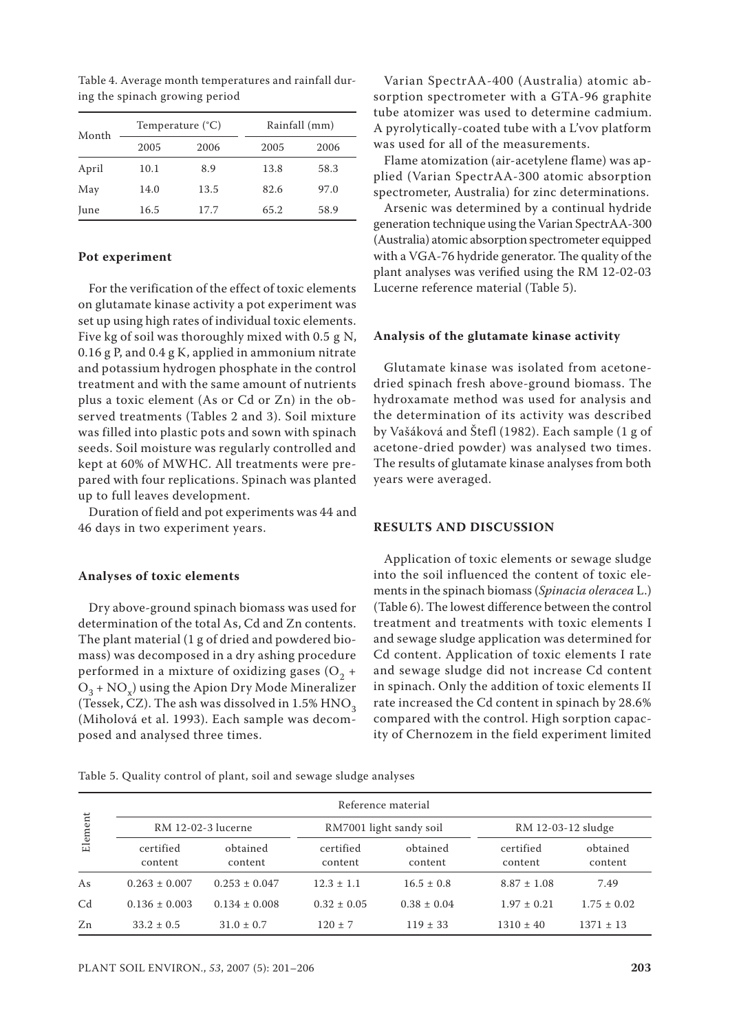| Month |      | Temperature $(^{\circ}C)$ |      | Rainfall (mm) |  |
|-------|------|---------------------------|------|---------------|--|
|       | 2005 | 2006                      | 2005 | 2006          |  |
| April | 10.1 | 8.9                       | 13.8 | 58.3          |  |
| May   | 14.0 | 13.5                      | 82.6 | 97.0          |  |
| June  | 16.5 | 17.7                      | 65.2 | 58.9          |  |

Table 4. Average month temperatures and rainfall during the spinach growing period

## **Pot experiment**

For the verification of the effect of toxic elements on glutamate kinase activity a pot experiment was set up using high rates of individual toxic elements. Five kg of soil was thoroughly mixed with 0.5 g N, 0.16 g P, and 0.4 g K, applied in ammonium nitrate and potassium hydrogen phosphate in the control treatment and with the same amount of nutrients plus a toxic element (As or Cd or Zn) in the observed treatments (Tables 2 and 3). Soil mixture was filled into plastic pots and sown with spinach seeds. Soil moisture was regularly controlled and kept at 60% of MWHC. All treatments were prepared with four replications. Spinach was planted up to full leaves development.

Duration of field and pot experiments was 44 and 46 days in two experiment years.

#### **Analyses of toxic elements**

Dry above-ground spinach biomass was used for determination of the total As, Cd and Zn contents. The plant material (1 g of dried and powdered biomass) was decomposed in a dry ashing procedure performed in a mixture of oxidizing gases ( $O<sub>2</sub>$  +  $O_3$  + NO<sub>x</sub>) using the Apion Dry Mode Mineralizer (Tessek, CZ). The ash was dissolved in  $1.5\%$  HNO<sub>3</sub> (Miholová et al. 1993). Each sample was decomposed and analysed three times.

Varian SpectrAA-400 (Australia) atomic absorption spectrometer with a GTA-96 graphite tube atomizer was used to determine cadmium. A pyrolytically-coated tube with a L'vov platform was used for all of the measurements.

Flame atomization (air-acetylene flame) was applied (Varian SpectrAA-300 atomic absorption spectrometer, Australia) for zinc determinations.

Arsenic was determined by a continual hydride generation technique using the Varian SpectrAA-300 (Australia) atomic absorption spectrometer equipped with a VGA-76 hydride generator. The quality of the plant analyses was verified using the RM 12-02-03 Lucerne reference material (Table 5).

#### **Analysis of the glutamate kinase activity**

Glutamate kinase was isolated from acetonedried spinach fresh above-ground biomass. The hydroxamate method was used for analysis and the determination of its activity was described by Vašáková and Štefl (1982). Each sample (1 g of acetone-dried powder) was analysed two times. The results of glutamate kinase analyses from both years were averaged.

## **RESULTS AND DISCUSSION**

Application of toxic elements or sewage sludge into the soil influenced the content of toxic elements in the spinach biomass (*Spinacia oleracea* L.) (Table 6). The lowest difference between the control treatment and treatments with toxic elements I and sewage sludge application was determined for Cd content. Application of toxic elements I rate and sewage sludge did not increase Cd content in spinach. Only the addition of toxic elements II rate increased the Cd content in spinach by 28.6% compared with the control. High sorption capacity of Chernozem in the field experiment limited

Table 5. Quality control of plant, soil and sewage sludge analyses

|                |                      |                     |                         | Reference material  |                      |                     |  |
|----------------|----------------------|---------------------|-------------------------|---------------------|----------------------|---------------------|--|
| Element        | RM 12-02-3 lucerne   |                     | RM7001 light sandy soil |                     |                      | RM 12-03-12 sludge  |  |
|                | certified<br>content | obtained<br>content | certified<br>content    | obtained<br>content | certified<br>content | obtained<br>content |  |
| As             | $0.263 \pm 0.007$    | $0.253 \pm 0.047$   | $12.3 \pm 1.1$          | $16.5 \pm 0.8$      | $8.87 \pm 1.08$      | 7.49                |  |
| C <sub>d</sub> | $0.136 \pm 0.003$    | $0.134 \pm 0.008$   | $0.32 \pm 0.05$         | $0.38 \pm 0.04$     | $1.97 \pm 0.21$      | $1.75 \pm 0.02$     |  |
| Zn             | $33.2 \pm 0.5$       | $31.0 \pm 0.7$      | $120 \pm 7$             | $119 \pm 33$        | $1310 \pm 40$        | $1371 \pm 13$       |  |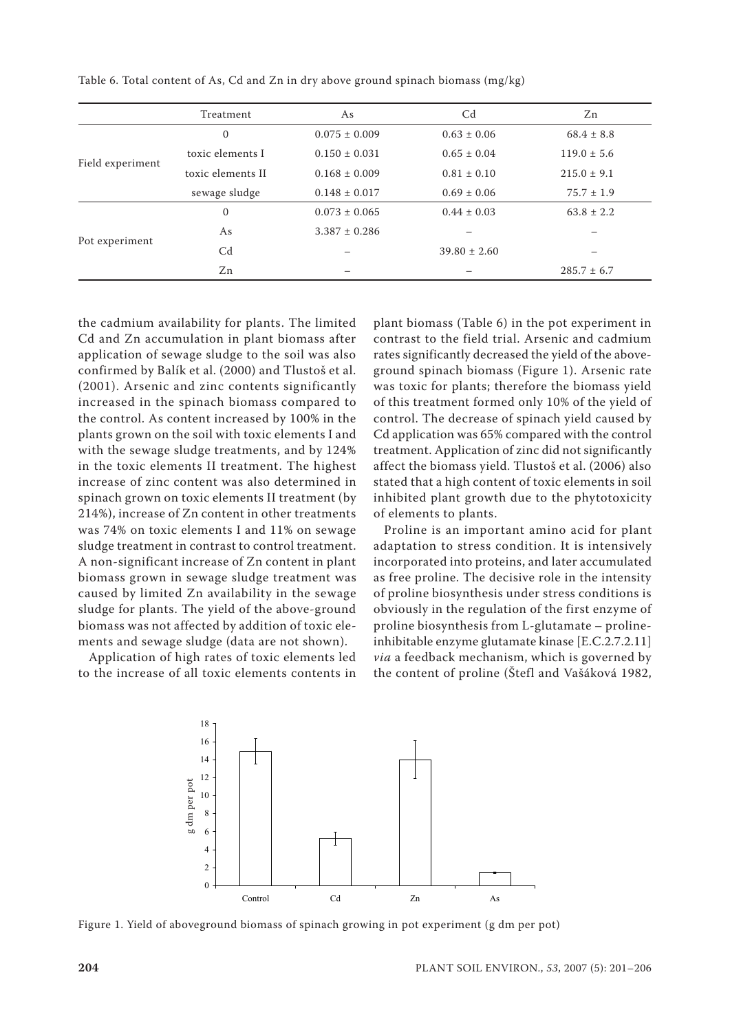|                  | Treatment         | As                | C <sub>d</sub>   | Zn              |
|------------------|-------------------|-------------------|------------------|-----------------|
|                  | $\mathbf{0}$      | $0.075 \pm 0.009$ | $0.63 \pm 0.06$  | $68.4 \pm 8.8$  |
|                  | toxic elements I  | $0.150 \pm 0.031$ | $0.65 \pm 0.04$  | $119.0 \pm 5.6$ |
| Field experiment | toxic elements II | $0.168 \pm 0.009$ | $0.81 \pm 0.10$  | $215.0 \pm 9.1$ |
|                  | sewage sludge     | $0.148 \pm 0.017$ | $0.69 \pm 0.06$  | $75.7 \pm 1.9$  |
| Pot experiment   | $\mathbf{0}$      | $0.073 \pm 0.065$ | $0.44 \pm 0.03$  | $63.8 \pm 2.2$  |
|                  | As                | $3.387 \pm 0.286$ |                  |                 |
|                  | C <sub>d</sub>    |                   | $39.80 \pm 2.60$ |                 |
|                  | Zn                |                   |                  | $285.7 \pm 6.7$ |

Table 6. Total content of As, Cd and Zn in dry above ground spinach biomass (mg/kg)

the cadmium availability for plants. The limited Cd and Zn accumulation in plant biomass after application of sewage sludge to the soil was also confirmed by Balík et al. (2000) and Tlustoš et al. (2001). Arsenic and zinc contents significantly increased in the spinach biomass compared to the control. As content increased by 100% in the plants grown on the soil with toxic elements I and with the sewage sludge treatments, and by 124% in the toxic elements II treatment. The highest increase of zinc content was also determined in spinach grown on toxic elements II treatment (by 214%), increase of Zn content in other treatments was 74% on toxic elements I and 11% on sewage sludge treatment in contrast to control treatment. A non-significant increase of Zn content in plant biomass grown in sewage sludge treatment was caused by limited Zn availability in the sewage sludge for plants. The yield of the above-ground biomass was not affected by addition of toxic elements and sewage sludge (data are not shown).

Application of high rates of toxic elements led to the increase of all toxic elements contents in

plant biomass (Table 6) in the pot experiment in contrast to the field trial. Arsenic and cadmium rates significantly decreased the yield of the aboveground spinach biomass (Figure 1). Arsenic rate was toxic for plants; therefore the biomass yield of this treatment formed only 10% of the yield of control. The decrease of spinach yield caused by Cd application was 65% compared with the control treatment. Application of zinc did not significantly affect the biomass yield. Tlustoš et al. (2006) also stated that a high content of toxic elements in soil inhibited plant growth due to the phytotoxicity of elements to plants.

Proline is an important amino acid for plant adaptation to stress condition. It is intensively incorporated into proteins, and later accumulated as free proline. The decisive role in the intensity of proline biosynthesis under stress conditions is obviously in the regulation of the first enzyme of proline biosynthesis from L-glutamate – prolineinhibitable enzyme glutamate kinase [E.C.2.7.2.11] *via* a feedback mechanism, which is governed by the content of proline (Štefl and Vašáková 1982,



Figure 1. Yield of aboveground biomass of spinach growing in pot experiment (g dm per pot)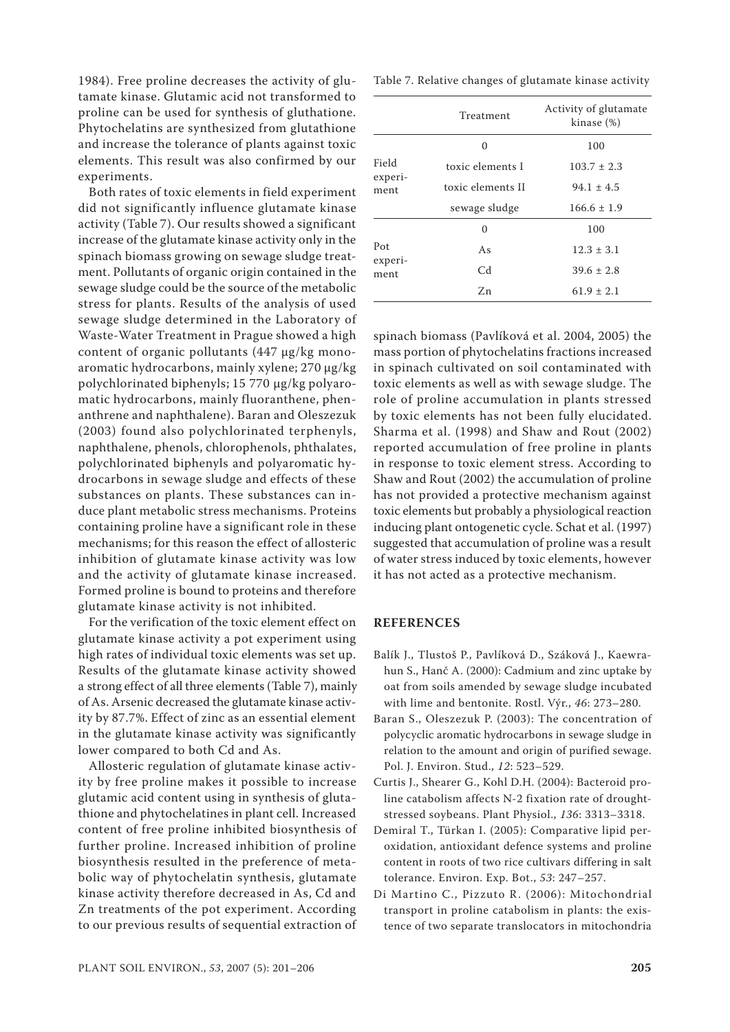1984). Free proline decreases the activity of glutamate kinase. Glutamic acid not transformed to proline can be used for synthesis of gluthatione. Phytochelatins are synthesized from glutathione and increase the tolerance of plants against toxic elements. This result was also confirmed by our experiments.

Both rates of toxic elements in field experiment did not significantly influence glutamate kinase activity (Table 7). Our results showed a significant increase of the glutamate kinase activity only in the spinach biomass growing on sewage sludge treatment. Pollutants of organic origin contained in the sewage sludge could be the source of the metabolic stress for plants. Results of the analysis of used sewage sludge determined in the Laboratory of Waste-Water Treatment in Prague showed a high content of organic pollutants (447 µg/kg monoaromatic hydrocarbons, mainly xylene; 270 µg/kg polychlorinated biphenyls; 15 770 µg/kg polyaromatic hydrocarbons, mainly fluoranthene, phenanthrene and naphthalene). Baran and Oleszezuk (2003) found also polychlorinated terphenyls, naphthalene, phenols, chlorophenols, phthalates, polychlorinated biphenyls and polyaromatic hydrocarbons in sewage sludge and effects of these substances on plants. These substances can induce plant metabolic stress mechanisms. Proteins containing proline have a significant role in these mechanisms; for this reason the effect of allosteric inhibition of glutamate kinase activity was low and the activity of glutamate kinase increased. Formed proline is bound to proteins and therefore glutamate kinase activity is not inhibited.

For the verification of the toxic element effect on glutamate kinase activity a pot experiment using high rates of individual toxic elements was set up. Results of the glutamate kinase activity showed a strong effect of all three elements (Table 7), mainly of As. Arsenic decreased the glutamate kinase activity by 87.7%. Effect of zinc as an essential element in the glutamate kinase activity was significantly lower compared to both Cd and As.

Allosteric regulation of glutamate kinase activity by free proline makes it possible to increase glutamic acid content using in synthesis of glutathione and phytochelatines in plant cell. Increased content of free proline inhibited biosynthesis of further proline. Increased inhibition of proline biosynthesis resulted in the preference of metabolic way of phytochelatin synthesis, glutamate kinase activity therefore decreased in As, Cd and Zn treatments of the pot experiment. According to our previous results of sequential extraction of Table 7. Relative changes of glutamate kinase activity

|                        | Treatment         | Activity of glutamate<br>kinase (%) |
|------------------------|-------------------|-------------------------------------|
|                        | $\Omega$          | 100                                 |
| Field                  | toxic elements I  | $103.7 \pm 2.3$                     |
| experi-<br>ment        | toxic elements II | $94.1 \pm 4.5$                      |
|                        | sewage sludge     | $166.6 \pm 1.9$                     |
|                        | 0                 | 100                                 |
| Pot<br>experi-<br>ment | As                | $12.3 \pm 3.1$                      |
|                        | Cd                | $39.6 \pm 2.8$                      |
|                        | Zn                | $61.9 \pm 2.1$                      |

spinach biomass (Pavlíková et al. 2004, 2005) the mass portion of phytochelatins fractions increased in spinach cultivated on soil contaminated with toxic elements as well as with sewage sludge. The role of proline accumulation in plants stressed by toxic elements has not been fully elucidated. Sharma et al. (1998) and Shaw and Rout (2002) reported accumulation of free proline in plants in response to toxic element stress. According to Shaw and Rout (2002) the accumulation of proline has not provided a protective mechanism against toxic elements but probably a physiological reaction inducing plant ontogenetic cycle. Schat et al. (1997) suggested that accumulation of proline was a result of water stress induced by toxic elements, however it has not acted as a protective mechanism.

## **REFERENCES**

- Balík J., Tlustoš P., Pavlíková D., Száková J., Kaewrahun S., Hanč A. (2000): Cadmium and zinc uptake by oat from soils amended by sewage sludge incubated with lime and bentonite. Rostl. Výr., *46*: 273–280.
- Baran S., Oleszezuk P. (2003): The concentration of polycyclic aromatic hydrocarbons in sewage sludge in relation to the amount and origin of purified sewage. Pol. J. Environ. Stud., *12*: 523–529.
- Curtis J., Shearer G., Kohl D.H. (2004): Bacteroid proline catabolism affects N-2 fixation rate of droughtstressed soybeans. Plant Physiol., *136*: 3313–3318.
- Demiral T., Türkan I. (2005): Comparative lipid peroxidation, antioxidant defence systems and proline content in roots of two rice cultivars differing in salt tolerance. Environ. Exp. Bot., *53*: 247–257.
- Di Martino C., Pizzuto R. (2006): Mitochondrial transport in proline catabolism in plants: the existence of two separate translocators in mitochondria